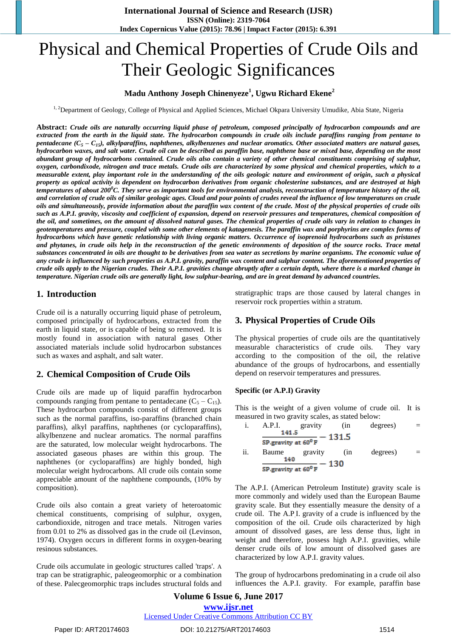# Physical and Chemical Properties of Crude Oils and Their Geologic Significances

## **Madu Anthony Joseph Chinenyeze<sup>1</sup> , Ugwu Richard Ekene<sup>2</sup>**

<sup>1, 2</sup>Department of Geology, College of Physical and Applied Sciences, Michael Okpara University Umudike, Abia State, Nigeria

**Abstract:** *Crude oils are naturally occurring liquid phase of petroleum, composed principally of hydrocarbon compounds and are extracted from the earth in the liquid state. The hydrocarbon compounds in crude oils include paraffins ranging from pentane to pentadecane*  $(C_5 - C_{15})$ , alkylparaffins, naphthenes, alkylbenzenes and nuclear aromatics. Other associated matters are natural gases, *hydrocarbon waxes, and salt water. Crude oil can be described as paraffin base, naphthene base or mixed base, depending on the most abundant group of hydrocarbons contained. Crude oils also contain a variety of other chemical constituents comprising of sulphur, oxygen, carbondixode, nitrogen and trace metals. Crude oils are characterized by some physical and chemical properties, which to a measurable extent, play important role in the understanding of the oils geologic nature and environment of origin, such a physical property as optical activity is dependent on hydrocarbon derivatives from organic cholesterine substances, and are destroyed at high temperatures of about 200<sup>0</sup>C. They serve as important tools for environmental analysis, reconstruction of temperature history of the oil, and correlation of crude oils of similar geologic ages. Cloud and pour points of crudes reveal the influence of low temperatures on crude oils and simultaneously, provide information about the paraffin wax content of the crude. Most of the physical properties of crude oils such as A.P.I. gravity, viscosity and coefficient of expansion, depend on reservoir pressures and temperatures, chemical composition of the oil, and sometimes, on the amount of dissolved natural gases. The chemical properties of crude oils vary in relation to changes in geotemperatures and pressure, coupled with some other elements of katagenesis. The paraffin wax and porphyrins are complex forms of hydrocarbons which have genetic relationship with living organic matters. Occurrence of isoprenoid hydrocarbons such as pristanes and phytanes, in crude oils help in the reconstruction of the genetic environments of deposition of the source rocks. Trace metal substances concentrated in oils are thought to be derivatives from sea water as secretions by marine organisms. The economic value of any crude is influenced by such properties as A.P.I. gravity, paraffin wax content and sulphur content. The aforementioned properties of crude oils apply to the Nigerian crudes. Their A.P.I. gravities change abruptly after a certain depth, where there is a marked change in temperature. Nigerian crude oils are generally light, low sulphur-bearing, and are in great demand by advanced countries.*

## **1. Introduction**

Crude oil is a naturally occurring liquid phase of petroleum, composed principally of hydrocarbons, extracted from the earth in liquid state, or is capable of being so removed. It is mostly found in association with natural gases. Other associated materials include solid hydrocarbon substances such as waxes and asphalt, and salt water.

# **2. Chemical Composition of Crude Oils**

Crude oils are made up of liquid paraffin hydrocarbon compounds ranging from pentane to pentadecane  $(C_5 - C_{15})$ . These hydrocarbon compounds consist of different groups such as the normal paraffins, iso-paraffins (branched chain paraffins), alkyl paraffins, naphthenes (or cycloparaffins), alkylbenzene and nuclear aromatics. The normal paraffins are the saturated, low molecular weight hydrocarbons. The associated gaseous phases are within this group. The naphthenes (or cycloparaffins) are highly bonded, high molecular weight hydrocarbons. All crude oils contain some appreciable amount of the naphthene compounds, (10% by composition).

Crude oils also contain a great variety of heteroatomic chemical constituents, comprising of sulphur, oxygen, carbondioxide, nitrogen and trace metals. Nitrogen varies from 0.01 to 2% as dissolved gas in the crude oil (Levinson, 1974). Oxygen occurs in different forms in oxygen-bearing resinous substances.

Crude oils accumulate in geologic structures called 'traps'. A trap can be stratigraphic, paleogeomorphic or a combination of these. Palecgeomorphic traps includes structural folds and stratigraphic traps are those caused by lateral changes in reservoir rock properties within a stratum.

# **3. Physical Properties of Crude Oils**

The physical properties of crude oils are the quantitatively measurable characteristics of crude oils. They vary according to the composition of the oil, the relative abundance of the groups of hydrocarbons, and essentially depend on reservoir temperatures and pressures.

## **Specific (or A.P.I) Gravity**

This is the weight of a given volume of crude oil. It is measured in two gravity scales, as stated below:

i. A.P.I. gravity (in degrees) =  
\n
$$
\frac{141.5}{SP\text{-}gravity at 60^{\circ} F} - 131.5
$$
\nii. Baume gravity (in degrees) =  
\n
$$
\frac{140}{SP\text{-}gravity at 60^{\circ} F} - 130
$$

The A.P.I. (American Petroleum Institute) gravity scale is more commonly and widely used than the European Baume gravity scale. But they essentially measure the density of a crude oil. The A.P.I. gravity of a crude is influenced by the composition of the oil. Crude oils characterized by high amount of dissolved gases, are less dense thus, light in weight and therefore, possess high A.P.I. gravities, while denser crude oils of low amount of dissolved gases are characterized by low A.P.I. gravity values.

The group of hydrocarbons predominating in a crude oil also influences the A.P.I. gravity. For example, paraffin base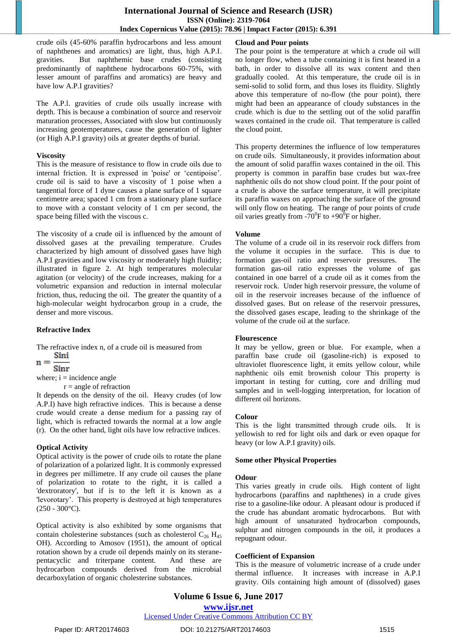crude oils (45-60% paraffin hydrocarbons and less amount of naphthenes and aromatics) are light, thus, high A.P.I. gravities. But naphthemic base crudes (consisting predominantly of naphthene hydrocarbons 60-75%, with lesser amount of paraffins and aromatics) are heavy and have low A.P.I gravities?

The A.P.l. gravities of crude oils usually increase with depth. This is because a combination of source and reservoir maturation processes, Associated with slow but continuously increasing geotemperatures, cause the generation of lighter (or High A.P.I gravity) oils at greater depths of burial.

#### **Viscosity**

This is the measure of resistance to flow in crude oils due to internal friction. It is expressed in 'poise' or 'centipoise'. crude oil is said to have a viscosity of 1 poise when a tangential force of 1 dyne causes a plane surface of 1 square centimetre area; spaced 1 cm from a stationary plane surface to move with a constant velocity of 1 cm per second, the space being filled with the viscous c.

The viscosity of a crude oil is influenced by the amount of dissolved gases at the prevailing temperature. Crudes characterized by high amount of dissolved gases have high A.P.I gravities and low viscosity or moderately high fluidity; illustrated in figure 2. At high temperatures molecular agitation (or velocity) of the crude increases, making for a volumetric expansion and reduction in internal molecular friction, thus, reducing the oil. The greater the quantity of a high-molecular weight hydrocarbon group in a crude, the denser and more viscous.

#### **Refractive Index**

The refractive index n, of a crude oil is measured from

$$
n = \frac{\sin i}{\sin i}
$$

Sinr where;  $i =$  incidence angle

 $r = angle of$  refraction

It depends on the density of the oil. Heavy crudes (of low A.P.I) have high refractive indices. This is because a dense crude would create a dense medium for a passing ray of light, which is refracted towards the normal at a low angle (r). On the other hand, light oils have low refractive indices.

#### **Optical Activity**

Optical activity is the power of crude oils to rotate the plane of polarization of a polarized light. It is commonly expressed in degrees per millimetre. If any crude oil causes the plane of polarization to rotate to the right, it is called a 'dextroratory', but if is to the left it is known as a 'levorotary'. This property is destroyed at high temperatures (250 - 300°C).

Optical activity is also exhibited by some organisms that contain cholesterine substances (such as cholesterol  $C_{26}$  H<sub>45</sub> OH). According to Amosov (1951), the amount of optical rotation shown by a crude oil depends mainly on its steranepentacyclic and triterpane content. And these are hydrocarbon compounds derived from the microbial decarboxylation of organic cholesterine substances.

### **Cloud and Pour points**

The pour point is the temperature at which a crude oil will no longer flow, when a tube containing it is first heated in a bath, in order to dissolve all its wax content and then gradually cooled. At this temperature, the crude oil is in semi-solid to solid form, and thus loses its fluidity. Slightly above this temperature of no-flow (the pour point), there might had been an appearance of cloudy substances in the crude: which is due to the settling out of the solid paraffin waxes contained in the crude oil. That temperature is called the cloud point.

This property determines the influence of low temperatures on crude oils. Simultaneously, it provides information about the amount of solid paraffin waxes contained in the oil. This property is common in paraffin base crudes but wax-free naphthenic oils do not show cloud point. If the pour point of a crude is above the surface temperature, it will precipitate its paraffin waxes on approaching the surface of the ground will only flow on heating. The range of pour points of crude oil varies greatly from -70<sup>0</sup>F to +90<sup>0</sup>F or higher.

#### **Volume**

The volume of a crude oil in its reservoir rock differs from the volume it occupies in the surface. This is due to formation gas-oil ratio and reservoir pressures. The formation gas-oil ratio expresses the volume of gas contained in one barrel of a crude oil as it comes from the reservoir rock. Under high reservoir pressure, the volume of oil in the reservoir increases because of the influence of dissolved gases. But on release of the reservoir pressures, the dissolved gases escape, leading to the shrinkage of the volume of the crude oil at the surface.

#### **Flourescence**

It may be yellow, green or blue. For example, when a paraffin base crude oil (gasoline-rich) is exposed to ultraviolet fluorescence light, it emits yellow colour, while naphthenic oils emit brownish colour This property is important in testing for cutting, core and drilling mud samples and in well-logging interpretation, for location of different oil horizons.

#### **Colour**

This is the light transmitted through crude oils. It is yellowish to red for light oils and dark or even opaque for heavy (or low A.P.I gravity) oils.

#### **Some other Physical Properties**

#### **Odour**

This varies greatly in crude oils. High content of light hydrocarbons (paraffins and naphthenes) in a crude gives rise to a gasoline-like odour. A pleasant odour is produced if the crude has abundant aromatic hydrocarbons. But with high amount of unsaturated hydrocarbon compounds, sulphur and nitrogen compounds in the oil, it produces a repugnant odour.

#### **Coefficient of Expansion**

This is the measure of volumetric increase of a crude under thermal influence. It increases with increase in A.P.I gravity. Oils containing high amount of (dissolved) gases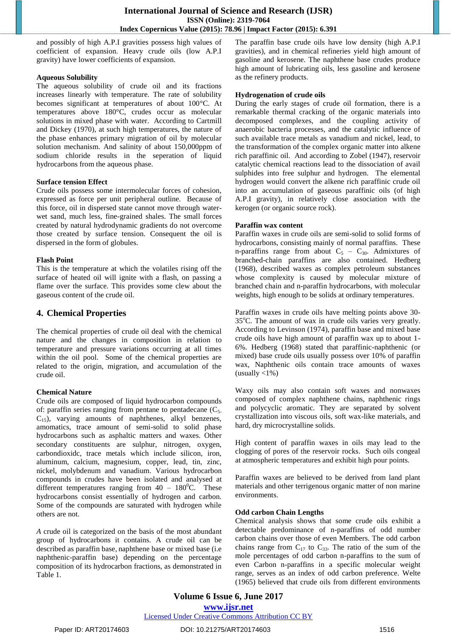and possibly of high A.P.I gravities possess high values of coefficient of expansion. Heavy crude oils (low A.P.I gravity) have lower coefficients of expansion.

#### **Aqueous Solubility**

The aqueous solubility of crude oil and its fractions increases linearly with temperature. The rate of solubility becomes significant at temperatures of about 100°C. At temperatures above 180°C, crudes occur as molecular solutions in mixed phase with water. According to Cartmill and Dickey (1970), at such high temperatures, the nature of the phase enhances primary migration of oil by molecular solution mechanism. And salinity of about 150,000ppm of sodium chloride results in the seperation of liquid hydrocarbons from the aqueous phase.

#### **Surface tension Effect**

Crude oils possess some intermolecular forces of cohesion, expressed as force per unit peripheral outline. Because of this force, oil in dispersed state cannot move through waterwet sand, much less, fine-grained shales. The small forces created by natural hydrodynamic gradients do not overcome those created by surface tension. Consequent the oil is dispersed in the form of globules.

#### **Flash Point**

This is the temperature at which the volatiles rising off the surface of heated oil will ignite with a flash, on passing a flame over the surface. This provides some clew about the gaseous content of the crude oil.

## **4. Chemical Properties**

The chemical properties of crude oil deal with the chemical nature and the changes in composition in relation to temperature and pressure variations occurring at all times within the oil pool. Some of the chemical properties are related to the origin, migration, and accumulation of the crude oil.

#### **Chemical Nature**

Crude oils are composed of liquid hydrocarbon compounds of: paraffin series ranging from pentane to pentadecane  $(C_5)$ .  $C_{15}$ ), varying amounts of naphthenes, alkyl benzenes, amomatics, trace amount of semi-solid to solid phase hydrocarbons such as asphaltic matters and waxes. Other secondary constituents are sulphur, nitrogen, oxygen, carbondioxidc, trace metals which include silicon, iron, aluminum, calcium, magnesium, copper, lead, tin, zinc, nickel, molybdenum and vanadium. Various hydrocarbon compounds in crudes have been isolated and analysed at different temperatures ranging from  $40 - 180^{\circ}$ C. These hydrocarbons consist essentially of hydrogen and carbon. Some of the compounds are saturated with hydrogen while others are not.

*A* crude oil is categorized on the basis of the most abundant group of hydrocarbons it contains. A crude oil can be described as paraffin base, naphthene base or mixed base (i.e naphthenic-paraffin base) depending on the percentage composition of its hydrocarbon fractions, as demonstrated in Table 1.

The paraffin base crude oils have low density (high A.P.I gravities), and in chemical refineries yield high amount of gasoline and kerosene. The naphthene base crudes produce high amount of lubricating oils, less gasoline and kerosene as the refinery products.

#### **Hydrogenation of crude oils**

During the early stages of crude oil formation, there is a remarkable thermal cracking of the organic materials into decomposed complexes, and the coupling activity of anaerobic bacteria processes, and the catalytic influence of such available trace metals as vanadium and nickel, lead, to the transformation of the complex organic matter into alkene rich paraffinic oil. And according to Zobel (1947), reservoir catalytic chemical reactions lead to the dissociation of avail sulphides into free sulphur and hydrogen. The elemental hydrogen would convert the alkene rich paraffinic crude oil into an accumulation of gaseous paraffinic oils (of high A.P.I gravity), in relatively close association with the kerogen (or organic source rock).

#### **Paraffin wax content**

Paraffin waxes in crude oils are semi-solid to solid forms of hydrocarbons, consisting mainly of normal paraffins. These n-paraffins range from about  $C_5 - C_{30}$ . Admixtures of branched-chain paraffins are also contained. Hedberg (1968), described waxes as complex petroleum substances whose complexity is caused by molecular mixture of branched chain and n-paraffin hydrocarbons, with molecular weights, high enough to be solids at ordinary temperatures.

Paraffin waxes in crude oils have melting points above 30- 35°C. The amount of wax in crude oils varies very greatly. According to Levinson (1974), paraffin base and mixed base crude oils have high amount of paraffin wax up to about 1- 6%. Hedberg (1968) stated that paraffinic-naphthenic (or mixed) base crude oils usually possess over 10% of paraffin wax, Naphthenic oils contain trace amounts of waxes (usually  $\langle 1\% \rangle$ 

Waxy oils may also contain soft waxes and nonwaxes composed of complex naphthene chains, naphthenic rings and polycyclic aromatic. They are separated by solvent crystallization into viscous oils, soft wax-like materials, and hard, dry microcrystalline solids.

High content of paraffin waxes in oils may lead to the clogging of pores of the reservoir rocks. Such oils congeal at atmospheric temperatures and exhibit high pour points.

Paraffin waxes are believed to be derived from land plant materials and other terrigenous organic matter of non marine environments.

#### **Odd carbon Chain Lengths**

Chemical analysis shows that some crude oils exhibit a detectable predominance of n-paraffins of odd number carbon chains over those of even Members. The odd carbon chains range from  $C_{17}$  to  $C_{33}$ . The ratio of the sum of the mole percentages of odd carbon n-paraffins to the sum of even Carbon n-paraffins in a specific molecular weight range, serves as an index of odd carbon preference. Welte (1965) believed that crude oils from different environments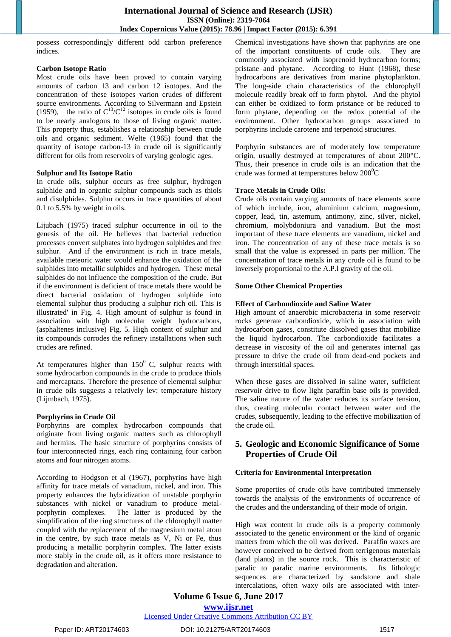possess correspondingly different odd carbon preference indices.

#### **Carbon Isotope Ratio**

Most crude oils have been proved to contain varying amounts of carbon 13 and carbon 12 isotopes. And the concentration of these isotopes varion crudes of different source environments. According to Silvermann and Epstein (1959), the ratio of  $C^{13}/C^{12}$  isotopes in crude oils is found to be nearly analogous to those of living organic matter. This property thus, establishes a relationship between crude oils and organic sediment. Welte (1965) found that the quantity of isotope carbon-13 in crude oil is significantly different for oils from reservoirs of varying geologic ages.

#### **Sulphur and Its Isotope Ratio**

In crude oils, sulphur occurs as free sulphur, hydrogen sulphide and in organic sulphur compounds such as thiols and disulphides. Sulphur occurs in trace quantities of about 0.1 to 5.5% by weight in oils.

Lijubach (1975) traced sulphur occurrence in oil to the genesis of the oil. He believes that bacterial reduction processes convert sulphates into hydrogen sulphides and free sulphur. And if the environment is rich in trace metals, available meteoric water would enhance the oxidation of the sulphides into metallic sulphides and hydrogen. These metal sulphides do not influence the composition of the crude. But if the environment is deficient of trace metals there would be direct bacterial oxidation of hydrogen sulphide into elemental sulphur thus producing a sulphur rich oil. This is illustrated' in Fig. 4. High amount of sulphur is found in association with high molecular weight hydrocarbons, (asphaltenes inclusive) Fig. 5. High content of sulphur and its compounds corrodes the refinery installations when such crudes are refined.

At temperatures higher than  $150^{\circ}$  C, sulphur reacts with some hydrocarbon compounds in the crude to produce thiols and mercaptans. Therefore the presence of elemental sulphur in crude oils suggests a relatively lev: temperature history (Lijmbach, 1975).

#### **Porphyrins in Crude Oil**

Porphyrins are complex hydrocarbon compounds that originate from living organic matters such as chlorophyll and hermins. The basic structure of porphyrins consists of four interconnected rings, each ring containing four carbon atoms and four nitrogen atoms.

According to Hodgson et al (1967), porphyrins have high affinity for trace metals of vanadium, nickel, and iron. This property enhances the hybridization of unstable porphyrin substances with nickel or vanadium to produce metalporphyrin complexes. The latter is produced by the simplification of the ring structures of the chlorophyll matter coupled with the replacement of the magnesium metal atom in the centre, by such trace metals as V, Ni or Fe, thus producing a metallic porphyrin complex. The latter exists more stably in the crude oil, as it offers more resistance to degradation and alteration.

Chemical investigations have shown that paphyrins are one of the important constituents of crude oils. They are commonly associated with isoprenoid hydrocarbon forms; pristane and phytane. According to Hunt (1968), these hydrocarbons are derivatives from marine phytoplankton. The long-side chain characteristics of the chlorophyll molecule readily break off to form phytol. And the phytol can either be oxidized to form pristance or be reduced to form phytane, depending on the redox potential of the environment. Other hydrocarbon groups associated to porphyrins include carotene and terpenoid structures.

Porphyrin substances are of moderately low temperature origin, usually destroyed at temperatures of about 200°C. Thus, their presence in crude oils is an indication that the crude was formed at temperatures below  $200^{\circ}$ C

#### **Trace Metals in Crude Oils:**

Crude oils contain varying amounts of trace elements some of which include, iron, aluminium calcium, magnesium, copper, lead, tin, astemum, antimony, zinc, silver, nickel, chromium, molybdoniura and vanadium. But the most important of these trace elements are vanadium, nickel and iron. The concentration of any of these trace metals is so small that the value is expressed in parts per million. The concentration of trace metals in any crude oil is found to be inversely proportional to the A.P.l gravity of the oil.

#### **Some Other Chemical Properties**

#### **Effect of Carbondioxide and Saline Water**

High amount of anaerobic microbacteria in some reservoir rocks generate carbondioxide, which in association with hydrocarbon gases, constitute dissolved gases that mobilize the liquid hydrocarbon. The carbondioxide facilitates a decrease in viscosity of the oil and generates internal gas pressure to drive the crude oil from dead-end pockets and through interstitial spaces.

When these gases are dissolved in saline water, sufficient reservoir drive to flow light paraffin base oils is provided. The saline nature of the water reduces its surface tension, thus, creating molecular contact between water and the crudes, subsequently, leading to the effective mobilization of the crude oil.

## **5. Geologic and Economic Significance of Some Properties of Crude Oil**

## **Criteria for Environmental Interpretation**

Some properties of crude oils have contributed immensely towards the analysis of the environments of occurrence of the crudes and the understanding of their mode of origin.

High wax content in crude oils is a property commonly associated to the genetic environment or the kind of organic matters from which the oil was derived. Paraffin waxes are however conceived to be derived from terrigenous materials (land plants) in the source rock. This is characteristic of paralic to paralic marine environments. Its lithologic sequences are characterized by sandstone and shale intercalations, often waxy oils are associated with inter-

**Volume 6 Issue 6, June 2017 www.ijsr.net**

Licensed Under Creative Commons Attribution CC BY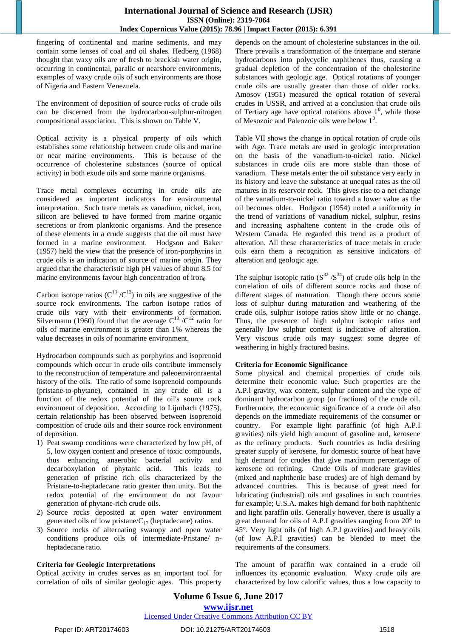fingering of continental and marine sediments, and may contain some lenses of coal and oil shales. Hedberg (1968) thought that waxy oils are of fresh to brackish water origin, occurring in continental, paralic or nearshore environments, examples of waxy crude oils of such environments are those of Nigeria and Eastern Venezuela.

The environment of deposition of source rocks of crude oils can be discerned from the hydrocarbon-sulphur-nitrogen compositional association. This is shown on Table V.

Optical activity is a physical property of oils which establishes some relationship between crude oils and marine or near marine environments. This is because of the occurrence of cholesterine substances (source of optical activity) in both exude oils and some marine organisms.

Trace metal complexes occurring in crude oils are considered as important indicators for environmental interpretation. Such trace metals as vanadium, nickel, iron, silicon are believed to have formed from marine organic secretions or from planktonic organisms. And the presence of these elements in a crude suggests that the oil must have formed in a marine environment. Hodgson and Baker (1957) held the view that the presence of iron-porphyrins in crude oils is an indication of source of marine origin. They argued that the characteristic high pH values of about 8.5 for marine environments favour high concentration of iron $<sub>0</sub>$ </sub>

Carbon isotope ratios  $(C^{13}/C^{12})$  in oils are suggestive of the source rock environments. The carbon isotope ratios of crude oils vary with their environments of formation. Silvermann (1960) found that the average  $C^{13}/C^{12}$  ratio for oils of marine environment is greater than 1% whereas the value decreases in oils of nonmarine environment.

Hydrocarbon compounds such as porphyrins and isoprenoid compounds which occur in crude oils contribute immensely to the reconstruction of temperature and paleoenvironraental history of the oils. The ratio of some isoprenoid compounds (pristane-to-phytane), contained in any crude oil is a function of the redox potential of the oil's source rock environment of deposition. According to Lijmbach (1975), certain relationship has been observed between isoprenoid composition of crude oils and their source rock environment of deposition.

- 1) Peat swamp conditions were characterized by low pH, of 5, low oxygen content and presence of toxic compounds, thus enhancing anaerobic bacterial activity and decarboxylation of phytanic acid. This leads to generation of pristine rich oils characterized by the Pristane-to-heptadecane ratio greater than unity. But the redox potential of the environment do not favour generation of phytane-rich crude oils.
- 2) Source rocks deposited at open water environment generated oils of low pristane/ $C_{17}$  (heptadecane) ratios.
- 3) Source rocks of alternating swampy and open water conditions produce oils of intermediate-Pristane/ nheptadecane ratio.

## **Criteria for Geologic Interpretations**

Optical activity in crudes serves as an important tool for correlation of oils of similar geologic ages. This property

depends on the amount of cholesterine substances in the oil. There prevails a transformation of the triterpane and sterane hydrocarbons into polycyclic naphthenes thus, causing a gradual depletion of the concentration of the cholestorine substances with geologic age. Optical rotations of younger crude oils are usually greater than those of older rocks. Amosov (1951) measured the optical rotation of several crudes in USSR, and arrived at a conclusion that crude oils of Tertiary age have optical rotations above  $1^0$ , while those of Mesozoic and Paleozoic oils were below  $1^0$ .

Table VII shows the change in optical rotation of crude oils with Age. Trace metals are used in geologic interpretation on the basis of the vanadium-to-nickel ratio. Nickel substances in crude oils are more stable than those of vanadium. These metals enter the oil substance very early in its history and leave the substance at unequal rates as the oil matures in its reservoir rock. This gives rise to a net change of the vanadium-to-nickel ratio toward a lower value as the oil becomes older. Hodgson (1954) noted a uniformity in the trend of variations of vanadium nickel, sulphur, resins and increasing asphaltene content in the crude oils of Western Canada. He regarded this trend as a product of alteration. All these characteristics of trace metals in crude oils earn them a recognition as sensitive indicators of alteration and geologic age.

The sulphur isotopic ratio ( $S^{32}/S^{34}$ ) of crude oils help in the correlation of oils of different source rocks and those of different stages of maturation. Though there occurs some loss of sulphur during maturation and weathering of the crude oils, sulphur isotope ratios show little or no change. Thus, the presence of high sulphur isotopic ratios and generally low sulphur content is indicative of alteration. Very viscous crude oils may suggest some degree of weathering in highly fractured basins.

#### **Criteria for Economic Significance**

Some physical and chemical properties of crude oils determine their economic value. Such properties are the A.P.l gravity, wax content, sulphur content and the type of dominant hydrocarbon group (or fractions) of the crude oil. Furthermore, the economic significance of a crude oil also depends on the immediate requirements of the consumer or country. For example light paraffinic (of high A.P.I gravities) oils yield high amount of gasoline and, kerosene as the refinary products. Such countries as India desiring greater supply of kerosene, for domestic source of heat have high demand for crudes that give maximum percentage of kerosene on refining. Crude Oils of moderate gravities (mixed and naphthenic base crudes) are of high demand by advanced countries. This is because of great need for lubricating (industrial) oils and gasolines in such countries for example; U.S.A. makes high demand for both naphthenic and light paraffin oils. Generally however, there is usually a great demand for oils of A.P.I gravities ranging from 20° to 45°. Very light oils (of high A.P.l gravities) and heavy oils (of low A.P.I gravities) can be blended to meet the requirements of the consumers.

The amount of paraffin wax contained in a crude oil influences its economic evaluation. Waxy crude oils are characterized by low calorific values, thus a low capacity to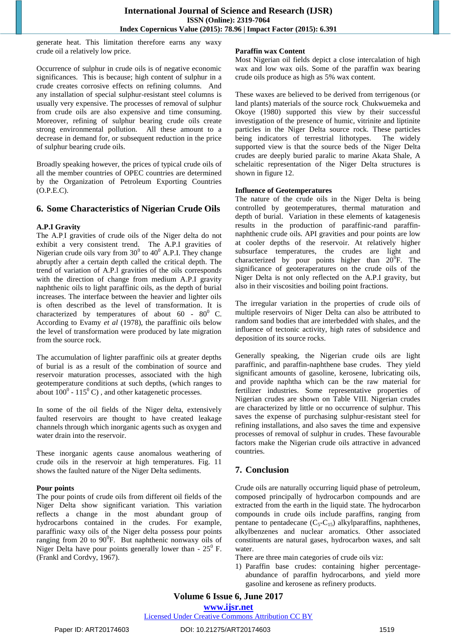generate heat. This limitation therefore earns any waxy crude oil a relatively low price.

Occurrence of sulphur in crude oils is of negative economic significances. This is because; high content of sulphur in a crude creates corrosive effects on refining columns. And any installation of special sulphur-resistant steel columns is usually very expensive. The processes of removal of sulphur from crude oils are also expensive and time consuming. Moreover, refining of sulphur bearing crude oils create strong environmental pollution. All these amount to a decrease in demand for, or subsequent reduction in the price of sulphur bearing crude oils.

Broadly speaking however, the prices of typical crude oils of all the member countries of OPEC countries are determined by the Organization of Petroleum Exporting Countries (O.P.E.C).

## **6. Some Characteristics of Nigerian Crude Oils**

#### **A.P.I Gravity**

The A.P.I gravities of crude oils of the Niger delta do not exhibit a very consistent trend. The A.P.I gravities of Nigerian crude oils vary from  $30^0$  to  $40^0$  A.P.I. They change abruptly after a certain depth called the critical depth. The trend of variation of A.P.l gravities of the oils corresponds with the direction of change from medium A.P.I gravity naphthenic oils to light paraffinic oils, as the depth of burial increases. The interface between the heavier and lighter oils is often described as the level of transformation. It is characterized by temperatures of about  $60 - 80^{\circ}$  C. According to Evamy *et al* (1978), the paraffinic oils below the level of transformation were produced by late migration from the source rock.

The accumulation of lighter paraffinic oils at greater depths of burial is as a result of the combination of source and reservoir maturation processes, associated with the high geotemperature conditions at such depths, (which ranges to about  $100^0$  -  $115^0$  C), and other katagenetic processes.

In some of the oil fields of the Niger delta, extensively faulted reservoirs are thought to have created leakage channels through which inorganic agents such as oxygen and water drain into the reservoir.

These inorganic agents cause anomalous weathering of crude oils in the reservoir at high temperatures. Fig. 11 shows the faulted nature of the Niger Delta sediments.

#### **Pour points**

The pour points of crude oils from different oil fields of the Niger Delta show significant variation. This variation reflects a change in the most abundant group of hydrocarbons contained in the crudes. For example, paraffinic waxy oils of the Niger delta possess pour points ranging from  $20$  to  $90^{\circ}$ F. But naphthenic nonwaxy oils of Niger Delta have pour points generally lower than -  $25^{\circ}$  F. (Frankl and Cordvy, 1967).

#### **Paraffin wax Content**

Most Nigerian oil fields depict a close intercalation of high wax and low wax oils. Some of the paraffin wax bearing crude oils produce as high as 5% wax content.

These waxes are believed to be derived from terrigenous (or land plants) materials of the source rock. Chukwuemeka and Okoye (1980) supported this view by their successful investigation of the presence of humic, vitrinite and liptinite particles in the Niger Delta source rock. These particles being indicators of terrestrial lithotypes. The widely supported view is that the source beds of the Niger Delta crudes are deeply buried paralic to marine Akata Shale, A schelaitic representation of the Niger Delta structures is shown in figure 12.

#### **Influence of Geotemperatures**

The nature of the crude oils in the Niger Delta is being controlled by geotemperatures, thermal maturation and depth of burial. Variation in these elements of katagenesis results in the production of paraffinic-rand paraffinnaphthenic crude oils. API gravities and pour points are low at cooler depths of the reservoir. At relatively higher subsurface temperatures, the crudes are light and characterized by pour points higher than  $20^{\circ}$ F. The significance of geoteraperatures on the crude oils of the Niger Delta is not only reflected on the A.P.I gravity, but also in their viscosities and boiling point fractions.

The irregular variation in the properties of crude oils of multiple reservoirs of Niger Delta can also be attributed to random sand bodies that are interbedded with shales, and the influence of tectonic activity, high rates of subsidence and deposition of its source rocks.

Generally speaking, the Nigerian crude oils are light paraffinic, and paraffin-naphthene base crudes. They yield significant amounts of gasoline, kerosene, lubricating oils, and provide naphtha which can be the raw material for fertilizer industries. Some representative properties of Nigerian crudes are shown on Table VIII. Nigerian crudes are characterized by little or no occurrence of sulphur. This saves the expense of purchasing sulphur-resistant steel for refining installations, and also saves the time and expensive processes of removal of sulphur in crudes. These favourable factors make the Nigerian crude oils attractive in advanced countries.

## **7. Conclusion**

Crude oils are naturally occurring liquid phase of petroleum, composed principally of hydrocarbon compounds and are extracted from the earth in the liquid state. The hydrocarbon compounds in crude oils include paraffins, ranging from pentane to pentadecane  $(C_5-C_{15})$  alkylparaffins, naphthenes, alkylbenzenes and nuclear aromatics. Other associated constituents are natural gases, hydrocarbon waxes, and salt water.

- There are three main categories of crude oils viz:
- 1) Paraffin base crudes: containing higher percentageabundance of paraffin hydrocarbons, and yield more gasoline and kerosene as refinery products.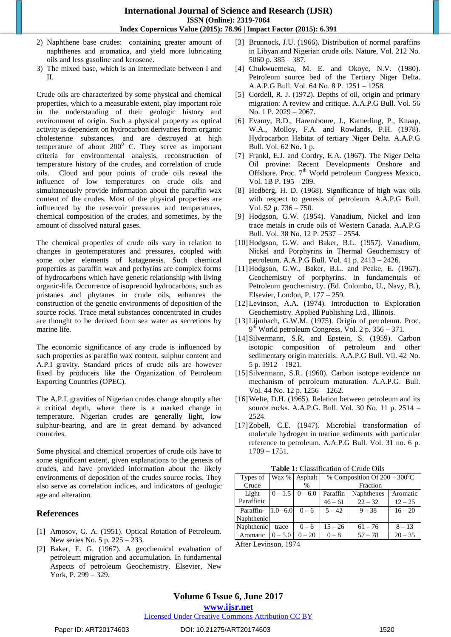- 2) Naphthene base crudes: containing greater amount of naphthenes and aromatica, and yield more lubricating oils and less gasoline and kerosene.
- 3) The mixed base, which is an intermediate between I and II.

Crude oils are characterized by some physical and chemical properties, which to a measurable extent, play important role in the understanding of their geologic history and environment of origin. Such a physical property as optical activity is dependent on hydrocarbon derivaties from organic cholesterine substances, and are destroyed at high temperature of about  $200^{\circ}$  C. They serve as important criteria for environmental analysis, reconstruction of temperature history of the crudes, and correlation of crude oils. Cloud and pour points of crude oils reveal the influence of low temperatures on crude oils and simultaneously provide information about the paraffin wax content of the crudes. Most of the physical properties are influenced by the reservoir pressures and temperatures, chemical composition of the crudes, and sometimes, by the amount of dissolved natural gases.

The chemical properties of crude oils vary in relation to changes in geotemperatures and pressures, coupled with some other elements of katagenesis. Such chemical properties as paraffin wax and perhyrins are complex forms of hydrocarbons which have genetic relationship with living organic-life. Occurrence of isoprenoid hydrocarbons, such as pristanes and phytanes in crude oils, enhances the construction of the genetic environments of deposition of the source rocks. Trace metal substances concentrated in crudes are thought to be derived from sea water as secretions by marine life.

The economic significance of any crude is influenced by such properties as paraffin wax content, sulphur content and A.P.I gravity. Standard prices of crude oils are however fixed by producers like the Organization of Petroleum Exporting Countries (OPEC).

The A.P.I. gravities of Nigerian crudes change abruptly after a critical depth, where there is a marked change in temperature. Nigerian crudes are generally light, low sulphur-bearing, and are in great demand by advanced countries.

Some physical and chemical properties of crude oils have to some significant extent, given explanations to the genesis of crudes, and have provided information about the likely environments of deposition of the crudes source rocks. They also serve as correlation indices, and indicators of geologic age and alteration.

## **References**

- [1] Amosov, G. A. (1951). Optical Rotation of Petroleum. New series No. 5 p. 225 – 233.
- [2] Baker, E. G. (1967). A geochemical evaluation of petroleum migration and accumulation. In fundamental Aspects of petroleum Geochemistry. Elsevier, New York, P. 299 – 329.
- [3] Brunnock, J.U. (1966). Distribution of normal paraffins in Libyan and Nigerian crude oils. Nature, Vol. 212 No. 5060 p. 385 – 387.
- [4] Chukwuemeka, M. E. and Okoye, N.V. (1980). Petroleum source bed of the Tertiary Niger Delta. A.A.P.G Bull. Vol. 64 No. 8 P. 1251 – 1258.
- [5] Cordell, R. J. (1972). Depths of oil, origin and primary migration: A review and critique. A.A.P.G Bull. Vol. 56 No. 1 P. 2029 – 2067.
- [6] Evamy, B.D., Haremboure, J., Kamerling, P., Knaap, W.A., Molloy, F.A. and Rowlands, P.H. (1978). Hydrocarbon Habitat of tertiary Niger Delta. A.A.P.G Bull. Vol. 62 No. 1 p.
- [7] Frankl, E.J. and Cordry, E.A. (1967). The Niger Delta Oil provine: Recent Developments Onshore and Offshore. Proc.  $7<sup>th</sup>$  World petroleum Congress Mexico, Vol. 1B P. 195 – 209.
- [8] Hedberg, H. D. (1968). Significance of high wax oils with respect to genesis of petroleum. A.A.P.G Bull. Vol. 52 p. 736 – 750.
- [9] Hodgson, G.W. (1954). Vanadium, Nickel and Iron trace metals in crude oils of Western Canada. A.A.P.G Bull. Vol. 38 No. 12 P. 2537 – 2554.
- [10]Hodgson, G.W. and Baker, B.L. (1957). Vanadium, Nickel and Porphyrins in Thermal Geochemistry of petroleum. A.A.P.G Bull. Vol. 41 p. 2413 – 2426.
- [11]Hodgson, G.W., Baker, B.L. and Peake, E. (1967). Geochemistry of porphyrins. In fundamentals of Petroleum geochemistry. (Ed. Colombo, U., Navy, B.), Elsevier, London, P. 177 – 259.
- [12] Levinson, A.A. (1974). Introduction to Exploration Geochemistry. Applied Publishing Ltd., Illinois.
- [13]Lijmbach, G.W.M. (1975). Origin of petroleum. Proc.  $9<sup>th</sup>$  World petroleum Congress, Vol. 2 p. 356 – 371.
- [14]Silvermann, S.R. and Epstein, S. (1959). Carbon isotopic composition of petroleum and other sedimentary origin materials. A.A.P.G Bull. Vil. 42 No. 5 p. 1912 – 1921.
- [15]Silvermann, S.R. (1960). Carbon isotope evidence on mechanism of petroleum maturation. A.A.P.G. Bull. Vol. 44 No. 12 p. 1256 – 1262.
- [16] Welte, D.H. (1965). Relation between petroleum and its source rocks. A.A.P.G. Bull. Vol. 30 No. 11 p. 2514 – 2524.
- [17]Zobell, C.E. (1947). Microbial transformation of molecule hydrogen in marine sediments with particular reference to petroleum. A.A.P.G Bull. Vol. 31 no. 6 p. 1709 – 1751.

**Table 1:** Classification of Crude Oils

| Types of   | Wax $%$     | Asphalt       |           | % Composition Of $200 - 300^{\circ}C$ |           |
|------------|-------------|---------------|-----------|---------------------------------------|-----------|
| Crude      |             | $\frac{0}{0}$ |           | Fraction                              |           |
| Light      | $0 - 1.5$   | $0 - 6.0$     | Paraffin  | Naphthenes                            | Aromatic  |
| Paraffinic |             |               | $46 - 61$ | $22 - 32$                             | $12 - 25$ |
| Paraffin-  | $1.0 - 6.0$ | $0 - 6$       | $5 - 42$  | $9 - 38$                              | $16 - 20$ |
| Naphthenic |             |               |           |                                       |           |
| Naphthenic | trace       | $0 - 6$       | $15 - 26$ | $61 - 76$                             | $8 - 13$  |
| Aromatic   | $0 - 5.0$   | $0 - 20$      | $0 - 8$   | $57 - 78$                             | $20 - 35$ |

After Levinson, 1974

# **Volume 6 Issue 6, June 2017**

**www.ijsr.net**

Licensed Under Creative Commons Attribution CC BY